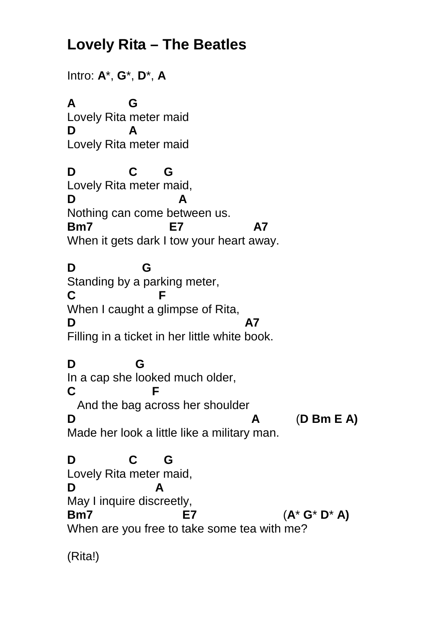## **Lovely Rita – The Beatles**

Intro: **A**\*, **G**\*, **D**\*, **A A G** Lovely Rita meter maid **D A** Lovely Rita meter maid **D C G** Lovely Rita meter maid, **D A** Nothing can come between us. **Bm7 E7 A7** When it gets dark I tow your heart away. **D G** Standing by a parking meter, **C F** When I caught a glimpse of Rita, **D A7** Filling in a ticket in her little white book. **D G** In a cap she looked much older, **C F** And the bag across her shoulder **D A** (**D Bm E A)** Made her look a little like a military man. **D C G** Lovely Rita meter maid, **D A** May I inquire discreetly, **Bm7 E7** (**A**\* **G**\* **D**\* **A)** When are you free to take some tea with me?

(Rita!)